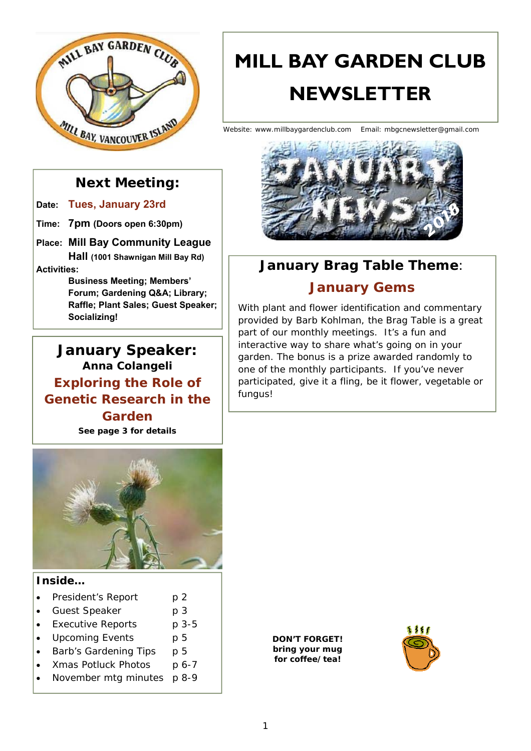

# **MILL BAY GARDEN CLUB NEWSLETTER**

Website: www.millbaygardenclub.com Email: mbgcnewsletter@gmail.com



# **January Brag Table Theme**:

# **January Gems**

With plant and flower identification and commentary provided by Barb Kohlman, the Brag Table is a great part of our monthly meetings. It's a fun and interactive way to share what's going on in your garden. The bonus is a prize awarded randomly to one of the monthly participants. If you've never participated, give it a fling, be it flower, vegetable or fungus!



**Date: Tues, January 23rd**

**Time: 7pm (Doors open 6:30pm)** 

**Place: Mill Bay Community League Hall (1001 Shawnigan Mill Bay Rd) Activities:** 

> **Business Meeting; Members' Forum; Gardening Q&A; Library; Raffle; Plant Sales; Guest Speaker; Socializing!**

**January Speaker: Anna Colangeli Exploring the Role of Genetic Research in the Garden**  *See page 3 for details* 



### **Inside…**

- President's Report p 2
- Guest Speaker p 3
- Executive Reports p 3-5
- Upcoming Events p 5
- Barb's Gardening Tips p 5
- Xmas Potluck Photos p 6-7
- November mtg minutes p 8-9

*DON'T FORGET! bring your mug for coffee/tea!* 

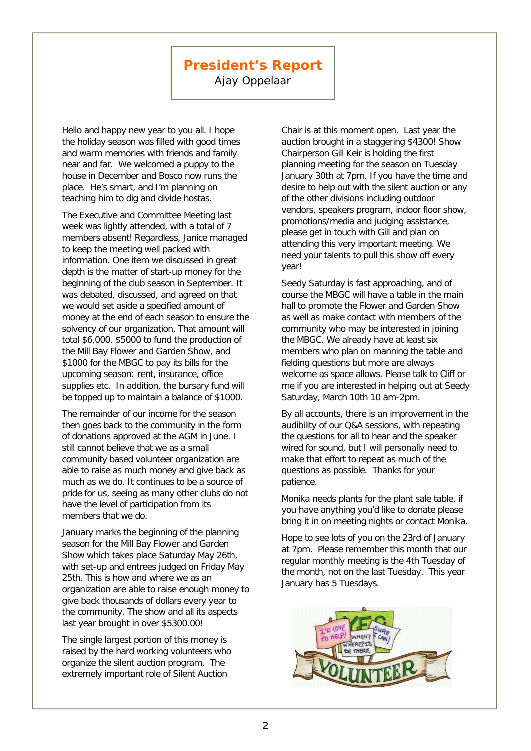# **President's Report**

Ajay Oppelaar

Hello and happy new year to you all. I hope the holiday season was filled with good times and warm memories with friends and family near and far. We welcomed a puppy to the house in December and Bosco now runs the place. He's smart, and I'm planning on teaching him to dig and divide hostas.

The Executive and Committee Meeting last week was lightly attended, with a total of 7 members absent! Regardless, Janice managed to keep the meeting well packed with information. One item we discussed in great depth is the matter of start-up money for the beginning of the club season in September. It was debated, discussed, and agreed on that we would set aside a specified amount of money at the end of each season to ensure the solvency of our organization. That amount will total \$6,000. \$5000 to fund the production of the Mill Bay Flower and Garden Show, and \$1000 for the MBGC to pay its bills for the upcoming season: rent, insurance, office supplies etc. In addition, the bursary fund will be topped up to maintain a balance of \$1000.

The remainder of our income for the season then goes back to the community in the form of donations approved at the AGM in June. I still cannot believe that we as a small community based volunteer organization are able to raise as much money and give back as much as we do. It continues to be a source of pride for us, seeing as many other clubs do not have the level of participation from its members that we do.

January marks the beginning of the planning season for the Mill Bay Flower and Garden Show which takes place Saturday May 26th, with set-up and entrees judged on Friday May 25th. This is how and where we as an organization are able to raise enough money to give back thousands of dollars every year to the community. The show and all its aspects last year brought in over \$5300.00!

The single largest portion of this money is raised by the hard working volunteers who organize the silent auction program. The extremely important role of Silent Auction

Chair is at this moment open. Last year the auction brought in a staggering \$4300! Show Chairperson Gill Keir is holding the first planning meeting for the season on Tuesday January 30th at 7pm. If you have the time and desire to help out with the silent auction or any of the other divisions including outdoor vendors, speakers program, indoor floor show, promotions/media and judging assistance, please get in touch with Gill and plan on attending this very important meeting. We need your talents to pull this show off every year!

Seedy Saturday is fast approaching, and of course the MBGC will have a table in the main hall to promote the Flower and Garden Show as well as make contact with members of the community who may be interested in joining the MBGC. We already have at least six members who plan on manning the table and fielding questions but more are always welcome as space allows. Please talk to Cliff or me if you are interested in helping out at Seedy Saturday, March 10th 10 am-2pm.

By all accounts, there is an improvement in the audibility of our Q&A sessions, with repeating the questions for all to hear and the speaker wired for sound, but I will personally need to make that effort to repeat as much of the questions as possible. Thanks for your patience.

Monika needs plants for the plant sale table, if you have anything you'd like to donate please bring it in on meeting nights or contact Monika.

Hope to see lots of you on the 23rd of January at 7pm. Please remember this month that our regular monthly meeting is the 4th Tuesday of the month, not on the last Tuesday. This year January has 5 Tuesdays.

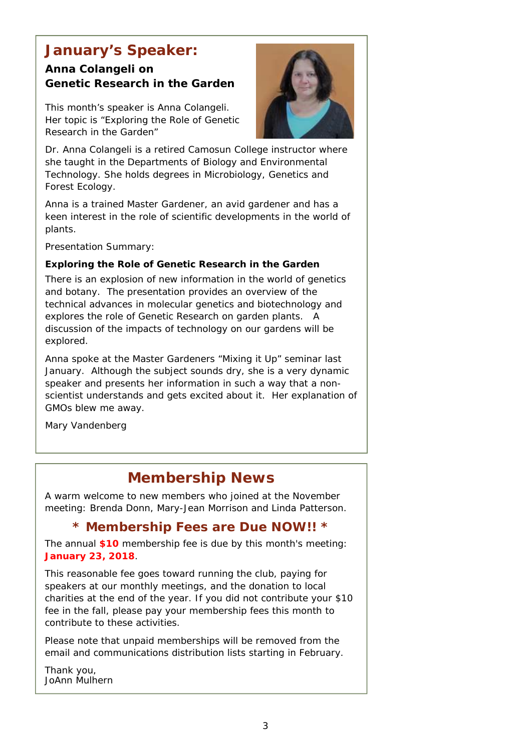# **January's Speaker:**

### **Anna Colangeli on Genetic Research in the Garden**

This month's speaker is Anna Colangeli. Her topic is "Exploring the Role of Genetic Research in the Garden"



Dr. Anna Colangeli is a retired Camosun College instructor where she taught in the Departments of Biology and Environmental Technology. She holds degrees in Microbiology, Genetics and Forest Ecology.

Anna is a trained Master Gardener, an avid gardener and has a keen interest in the role of scientific developments in the world of plants.

Presentation Summary:

### **Exploring the Role of Genetic Research in the Garden**

There is an explosion of new information in the world of genetics and botany. The presentation provides an overview of the technical advances in molecular genetics and biotechnology and explores the role of Genetic Research on garden plants. A discussion of the impacts of technology on our gardens will be explored.

*Anna spoke at the Master Gardeners "Mixing it Up" seminar last January. Although the subject sounds dry, she is a very dynamic speaker and presents her information in such a way that a nonscientist understands and gets excited about it. Her explanation of GMOs blew me away.* 

*Mary Vandenberg*

# **Membership News**

A warm welcome to new members who joined at the November meeting: Brenda Donn, Mary-Jean Morrison and Linda Patterson.

### **\* Membership Fees are Due NOW!! \***

The annual **\$10** membership fee is due by this month's meeting: **January 23, 2018**.

This reasonable fee goes toward running the club, paying for speakers at our monthly meetings, and the donation to local charities at the end of the year. If you did not contribute your \$10 fee in the fall, please pay your membership fees this month to contribute to these activities.

Please note that unpaid memberships will be removed from the email and communications distribution lists starting in February.

*Thank you, JoAnn Mulhern*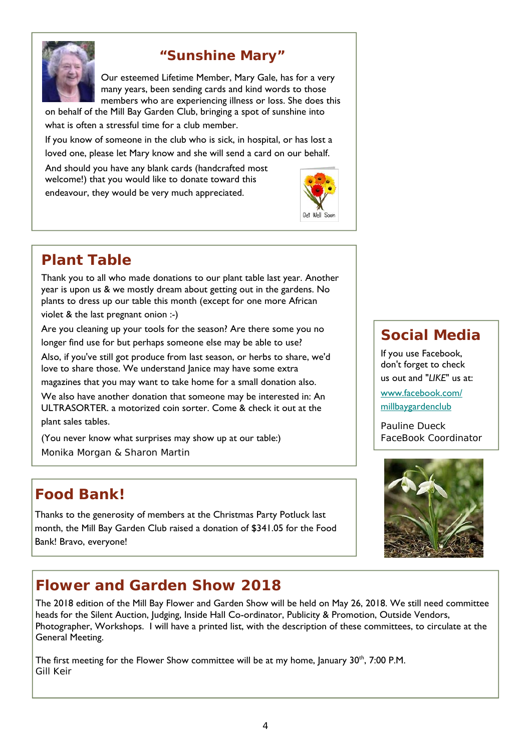

# **"Sunshine Mary"**

Our esteemed Lifetime Member, Mary Gale, has for a very many years, been sending cards and kind words to those members who are experiencing illness or loss. She does this

on behalf of the Mill Bay Garden Club, bringing a spot of sunshine into what is often a stressful time for a club member.

If you know of someone in the club who is sick, in hospital, or has lost a loved one, please let Mary know and she will send a card on our behalf.

And should you have any blank cards (handcrafted most welcome!) that you would like to donate toward this endeavour, they would be very much appreciated.



# **Plant Table**

Thank you to all who made donations to our plant table last year. Another year is upon us & we mostly dream about getting out in the gardens. No plants to dress up our table this month (except for one more African

violet & the last pregnant onion :-)

Are you cleaning up your tools for the season? Are there some you no longer find use for but perhaps someone else may be able to use?

Also, if you've still got produce from last season, or herbs to share, we'd love to share those. We understand Janice may have some extra

magazines that you may want to take home for a small donation also.

We also have another donation that someone may be interested in: An ULTRASORTER. a motorized coin sorter. Come & check it out at the plant sales tables.

(You never know what surprises may show up at our table:) *Monika Morgan & Sharon Martin* 

# **Food Bank!**

Thanks to the generosity of members at the Christmas Party Potluck last month, the Mill Bay Garden Club raised a donation of \$341.05 for the Food Bank! Bravo, everyone!

# **Flower and Garden Show 2018**

The 2018 edition of the Mill Bay Flower and Garden Show will be held on May 26, 2018. We still need committee heads for the Silent Auction, Judging, Inside Hall Co-ordinator, Publicity & Promotion, Outside Vendors, Photographer, Workshops. I will have a printed list, with the description of these committees, to circulate at the General Meeting.

The first meeting for the Flower Show committee will be at my home, January  $30<sup>th</sup>$ , 7:00 P.M. *Gill Keir* 

# **Social Media**

If you use Facebook, don't forget to check us out and "*LIKE*" us at: www.facebook.com/ millbaygardenclub

*Pauline Dueck FaceBook Coordinator*

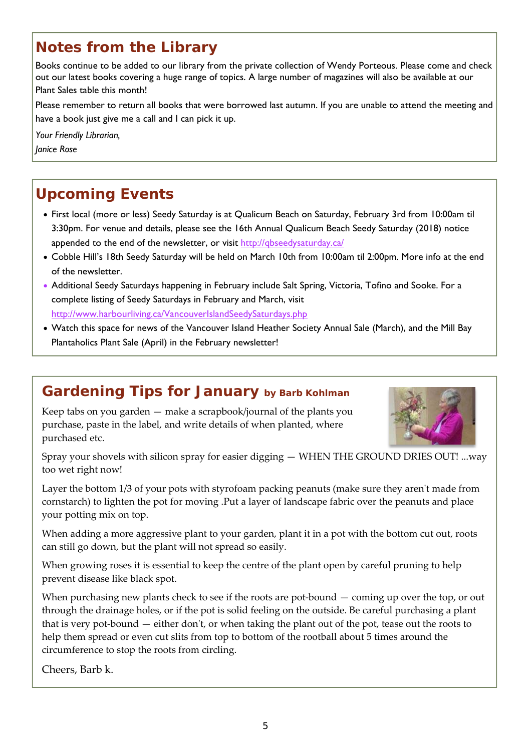# **Notes from the Library**

Books continue to be added to our library from the private collection of Wendy Porteous. Please come and check out our latest books covering a huge range of topics. A large number of magazines will also be available at our Plant Sales table this month!

Please remember to return all books that were borrowed last autumn. If you are unable to attend the meeting and have a book just give me a call and I can pick it up.

*Your Friendly Librarian,* 

*Janice Rose* 

# **Upcoming Events**

- First local (more or less) Seedy Saturday is at Qualicum Beach on Saturday, February 3rd from 10:00am til 3:30pm. For venue and details, please see the 16th Annual Qualicum Beach Seedy Saturday (2018) notice appended to the end of the newsletter, or visit http://gbseedysaturday.ca/
- Cobble Hill's 18th Seedy Saturday will be held on March 10th from 10:00am til 2:00pm. More info at the end of the newsletter.
- Additional Seedy Saturdays happening in February include Salt Spring, Victoria, Tofino and Sooke. For a complete listing of Seedy Saturdays in February and March, visit http://www.harbourliving.ca/VancouverIslandSeedySaturdays.php
- Watch this space for news of the Vancouver Island Heather Society Annual Sale (March), and the Mill Bay Plantaholics Plant Sale (April) in the February newsletter!

# **Gardening Tips for January by Barb Kohlman**

Keep tabs on you garden  $-$  make a scrapbook/journal of the plants you purchase, paste in the label, and write details of when planted, where purchased etc.



Spray your shovels with silicon spray for easier digging — WHEN THE GROUND DRIES OUT! ...way too wet right now!

Layer the bottom 1/3 of your pots with styrofoam packing peanuts (make sure they aren't made from cornstarch) to lighten the pot for moving .Put a layer of landscape fabric over the peanuts and place your potting mix on top.

When adding a more aggressive plant to your garden, plant it in a pot with the bottom cut out, roots can still go down, but the plant will not spread so easily.

When growing roses it is essential to keep the centre of the plant open by careful pruning to help prevent disease like black spot.

When purchasing new plants check to see if the roots are pot-bound  $-$  coming up over the top, or out through the drainage holes, or if the pot is solid feeling on the outside. Be careful purchasing a plant that is very pot-bound  $-$  either don't, or when taking the plant out of the pot, tease out the roots to help them spread or even cut slits from top to bottom of the rootball about 5 times around the circumference to stop the roots from circling.

Cheers, Barb k.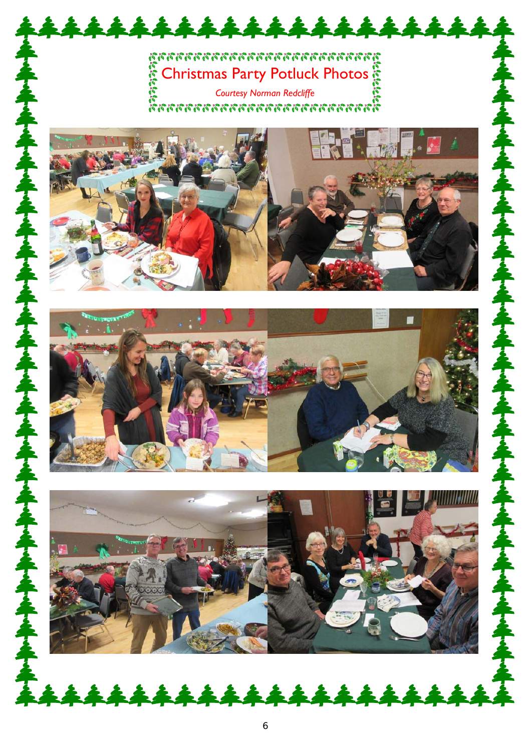# Christmas Party Potluck Photos

\*\*\*\*\*\*\*\*\*\*\*\*\*\*\*\*\*\*

نج<br>Courtesy Norman Redcliffe<br>מממממממממממממממ





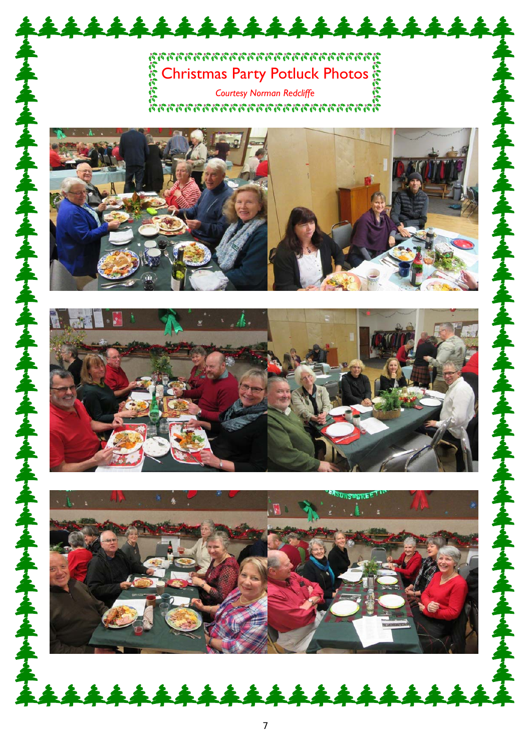# ตูทททททททททททททททททททททท n an Christmas Party Potluck Photos

\*\*\*\*\*\*\*\*\*\*\*\*\*\*\*\*\*\*\*

*Courtesy Norman Redcliffe* 





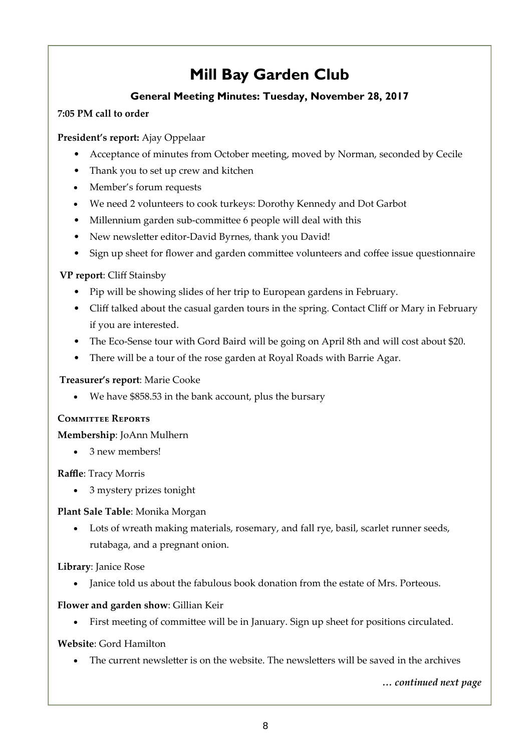# **Mill Bay Garden Club**

### **General Meeting Minutes: Tuesday, November 28, 2017**

### **7:05 PM call to order**

### **President's report:** Ajay Oppelaar

- Acceptance of minutes from October meeting, moved by Norman, seconded by Cecile
- Thank you to set up crew and kitchen
- Member's forum requests
- We need 2 volunteers to cook turkeys: Dorothy Kennedy and Dot Garbot
- Millennium garden sub-committee 6 people will deal with this
- New newsletter editor-David Byrnes, thank you David!
- Sign up sheet for flower and garden committee volunteers and coffee issue questionnaire

### **VP report**: Cliff Stainsby

- Pip will be showing slides of her trip to European gardens in February.
- Cliff talked about the casual garden tours in the spring. Contact Cliff or Mary in February if you are interested.
- The Eco-Sense tour with Gord Baird will be going on April 8th and will cost about \$20.
- There will be a tour of the rose garden at Royal Roads with Barrie Agar.

### **Treasurer's report**: Marie Cooke

We have \$858.53 in the bank account, plus the bursary

### **Committee Reports**

**Membership**: JoAnn Mulhern

• 3 new members!

**Raffle**: Tracy Morris

3 mystery prizes tonight

### **Plant Sale Table**: Monika Morgan

 Lots of wreath making materials, rosemary, and fall rye, basil, scarlet runner seeds, rutabaga, and a pregnant onion.

**Library**: Janice Rose

• Janice told us about the fabulous book donation from the estate of Mrs. Porteous.

### **Flower and garden show**: Gillian Keir

First meeting of committee will be in January. Sign up sheet for positions circulated.

### **Website**: Gord Hamilton

The current newsletter is on the website. The newsletters will be saved in the archives

*… continued next page*